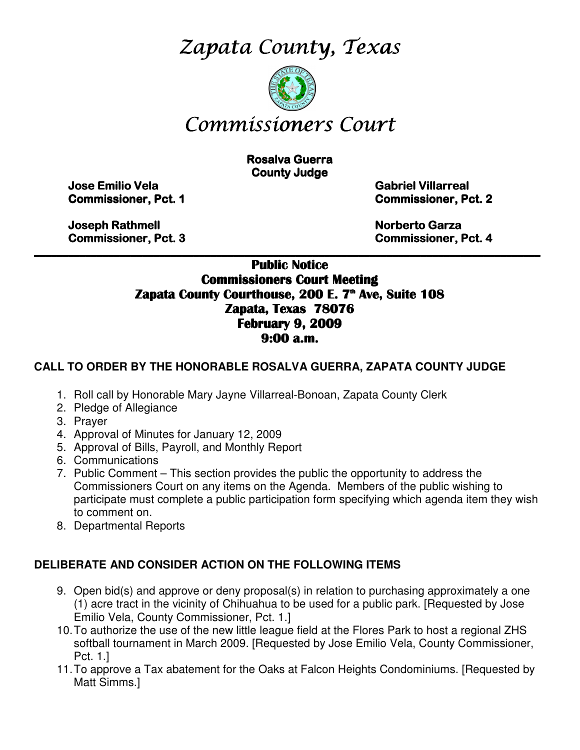Zapata County, Texas



# Commissioners Court

**Rosalva Guerra County Judge** 

Jose Emilio Vela Emilio Vela Vela Gabriel Villarreal Villarreal Villarreal

Commissioner, Pct. 1 1 Commissioner, Pct. 2 2

Joseph Rathmell Rathmell Norberto Garza Garza Garza

Commissioner, Pct. 3 3 Commissioner, Pct. 4 4

\_\_\_\_\_\_\_\_\_\_\_\_\_\_\_\_\_\_\_\_\_\_\_\_\_\_\_\_\_\_\_\_\_\_\_\_\_\_\_\_\_\_\_\_\_\_\_\_\_\_\_\_\_\_\_\_\_\_\_\_\_\_\_\_\_\_\_\_\_\_\_\_\_\_\_\_\_\_\_\_\_\_\_\_\_\_\_\_\_ Public Notice Commissioners Court Meeting Zapata County Courthouse, 200 E. 7<sup>th</sup> Ave, Suite 108 Zapata, Texas 78076 February 9, 2009 9:00 a.m.

#### **CALL TO ORDER BY THE HONORABLE ROSALVA GUERRA, ZAPATA COUNTY JUDGE**

- 1. Roll call by Honorable Mary Jayne Villarreal-Bonoan, Zapata County Clerk
- 2. Pledge of Allegiance
- 3. Prayer
- 4. Approval of Minutes for January 12, 2009
- 5. Approval of Bills, Payroll, and Monthly Report
- 6. Communications
- 7. Public Comment This section provides the public the opportunity to address the Commissioners Court on any items on the Agenda. Members of the public wishing to participate must complete a public participation form specifying which agenda item they wish to comment on.
- 8. Departmental Reports

#### **DELIBERATE AND CONSIDER ACTION ON THE FOLLOWING ITEMS**

- 9. Open bid(s) and approve or deny proposal(s) in relation to purchasing approximately a one (1) acre tract in the vicinity of Chihuahua to be used for a public park. [Requested by Jose Emilio Vela, County Commissioner, Pct. 1.]
- 10. To authorize the use of the new little league field at the Flores Park to host a regional ZHS softball tournament in March 2009. [Requested by Jose Emilio Vela, County Commissioner, Pct. 1.]
- 11. To approve a Tax abatement for the Oaks at Falcon Heights Condominiums. [Requested by Matt Simms.]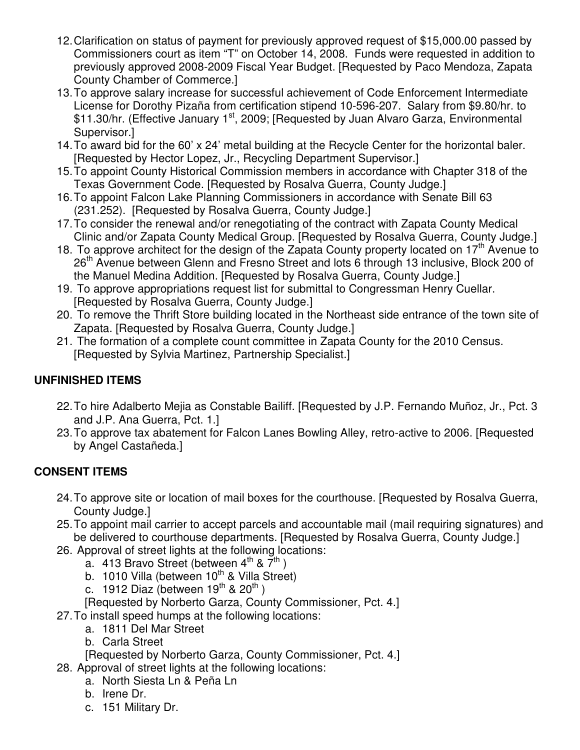- 12. Clarification on status of payment for previously approved request of \$15,000.00 passed by Commissioners court as item "T" on October 14, 2008. Funds were requested in addition to previously approved 2008-2009 Fiscal Year Budget. [Requested by Paco Mendoza, Zapata County Chamber of Commerce.]
- 13. To approve salary increase for successful achievement of Code Enforcement Intermediate License for Dorothy Pizaña from certification stipend 10-596-207. Salary from \$9.80/hr. to \$11.30/hr. (Effective January 1<sup>st</sup>, 2009; [Requested by Juan Alvaro Garza, Environmental Supervisor.]
- 14. To award bid for the 60' x 24' metal building at the Recycle Center for the horizontal baler. [Requested by Hector Lopez, Jr., Recycling Department Supervisor.]
- 15. To appoint County Historical Commission members in accordance with Chapter 318 of the Texas Government Code. [Requested by Rosalva Guerra, County Judge.]
- 16. To appoint Falcon Lake Planning Commissioners in accordance with Senate Bill 63 (231.252). [Requested by Rosalva Guerra, County Judge.]
- 17. To consider the renewal and/or renegotiating of the contract with Zapata County Medical Clinic and/or Zapata County Medical Group. [Requested by Rosalva Guerra, County Judge.]
- 18. To approve architect for the design of the Zapata County property located on  $17<sup>th</sup>$  Avenue to 26<sup>th</sup> Avenue between Glenn and Fresno Street and lots 6 through 13 inclusive, Block 200 of the Manuel Medina Addition. [Requested by Rosalva Guerra, County Judge.]
- 19. To approve appropriations request list for submittal to Congressman Henry Cuellar. [Requested by Rosalva Guerra, County Judge.]
- 20. To remove the Thrift Store building located in the Northeast side entrance of the town site of Zapata. [Requested by Rosalva Guerra, County Judge.]
- 21. The formation of a complete count committee in Zapata County for the 2010 Census. [Requested by Sylvia Martinez, Partnership Specialist.]

# **UNFINISHED ITEMS**

- 22. To hire Adalberto Mejia as Constable Bailiff. [Requested by J.P. Fernando Muñoz, Jr., Pct. 3 and J.P. Ana Guerra, Pct. 1.]
- 23. To approve tax abatement for Falcon Lanes Bowling Alley, retro-active to 2006. [Requested by Angel Castañeda.]

## **CONSENT ITEMS**

- 24. To approve site or location of mail boxes for the courthouse. [Requested by Rosalva Guerra, County Judge.]
- 25. To appoint mail carrier to accept parcels and accountable mail (mail requiring signatures) and be delivered to courthouse departments. [Requested by Rosalva Guerra, County Judge.]
- 26. Approval of street lights at the following locations:
	- a. 413 Bravo Street (between  $4<sup>th</sup>$  &  $\overline{7}$ <sup>th</sup>)
	- b. 1010 Villa (between  $10^{th}$  & Villa Street)
	- c. 1912 Diaz (between  $19^{th}$  &  $20^{th}$ )
	- [Requested by Norberto Garza, County Commissioner, Pct. 4.]
- 27. To install speed humps at the following locations:
	- a. 1811 Del Mar Street
	- b. Carla Street
	- [Requested by Norberto Garza, County Commissioner, Pct. 4.]
- 28. Approval of street lights at the following locations:
	- a. North Siesta Ln & Peña Ln
	- b. Irene Dr.
	- c. 151 Military Dr.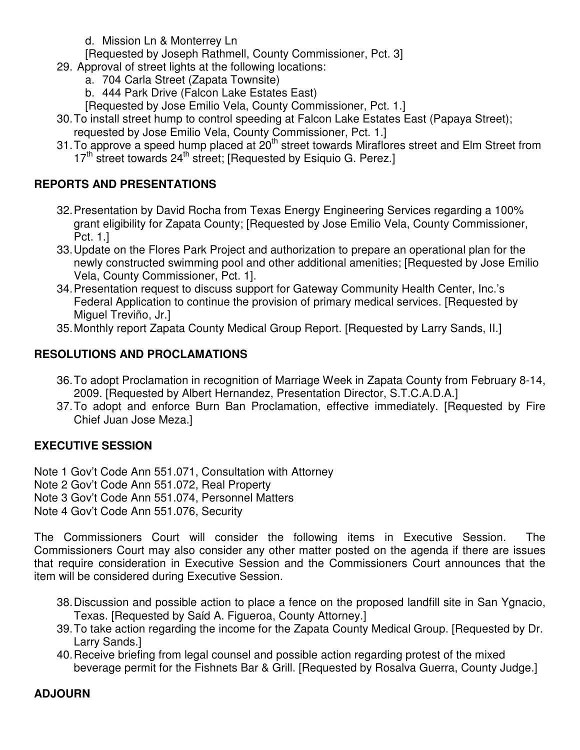d. Mission Ln & Monterrey Ln

[Requested by Joseph Rathmell, County Commissioner, Pct. 3]

- 29. Approval of street lights at the following locations:
	- a. 704 Carla Street (Zapata Townsite)
	- b. 444 Park Drive (Falcon Lake Estates East)
	- [Requested by Jose Emilio Vela, County Commissioner, Pct. 1.]
- 30. To install street hump to control speeding at Falcon Lake Estates East (Papaya Street); requested by Jose Emilio Vela, County Commissioner, Pct. 1.]
- 31. To approve a speed hump placed at  $20<sup>th</sup>$  street towards Miraflores street and Elm Street from  $17<sup>th</sup>$  street towards 24<sup>th</sup> street; [Requested by Esiquio G. Perez.]

## **REPORTS AND PRESENTATIONS**

- 32. Presentation by David Rocha from Texas Energy Engineering Services regarding a 100% grant eligibility for Zapata County; [Requested by Jose Emilio Vela, County Commissioner, Pct. 1.]
- 33. Update on the Flores Park Project and authorization to prepare an operational plan for the newly constructed swimming pool and other additional amenities; [Requested by Jose Emilio Vela, County Commissioner, Pct. 1].
- 34. Presentation request to discuss support for Gateway Community Health Center, Inc.'s Federal Application to continue the provision of primary medical services. [Requested by Miguel Treviño, Jr.]
- 35. Monthly report Zapata County Medical Group Report. [Requested by Larry Sands, II.]

# **RESOLUTIONS AND PROCLAMATIONS**

- 36. To adopt Proclamation in recognition of Marriage Week in Zapata County from February 8-14, 2009. [Requested by Albert Hernandez, Presentation Director, S.T.C.A.D.A.]
- 37. To adopt and enforce Burn Ban Proclamation, effective immediately. [Requested by Fire Chief Juan Jose Meza.]

## **EXECUTIVE SESSION**

Note 1 Gov't Code Ann 551.071, Consultation with Attorney

Note 2 Gov't Code Ann 551.072, Real Property

Note 3 Gov't Code Ann 551.074, Personnel Matters

Note 4 Gov't Code Ann 551.076, Security

The Commissioners Court will consider the following items in Executive Session. The Commissioners Court may also consider any other matter posted on the agenda if there are issues that require consideration in Executive Session and the Commissioners Court announces that the item will be considered during Executive Session.

- 38. Discussion and possible action to place a fence on the proposed landfill site in San Ygnacio, Texas. [Requested by Saίd A. Figueroa, County Attorney.]
- 39. To take action regarding the income for the Zapata County Medical Group. [Requested by Dr. Larry Sands.]
- 40. Receive briefing from legal counsel and possible action regarding protest of the mixed beverage permit for the Fishnets Bar & Grill. [Requested by Rosalva Guerra, County Judge.]

# **ADJOURN**